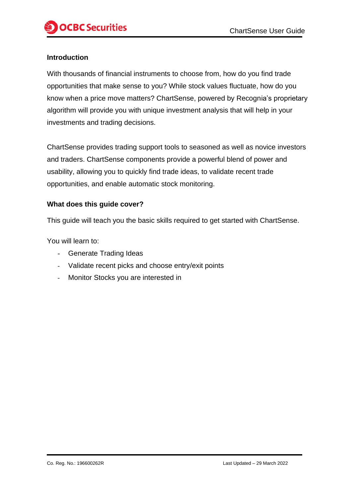## **Introduction**

With thousands of financial instruments to choose from, how do you find trade opportunities that make sense to you? While stock values fluctuate, how do you know when a price move matters? ChartSense, powered by Recognia's proprietary algorithm will provide you with unique investment analysis that will help in your investments and trading decisions.

ChartSense provides trading support tools to seasoned as well as novice investors and traders. ChartSense components provide a powerful blend of power and usability, allowing you to quickly find trade ideas, to validate recent trade opportunities, and enable automatic stock monitoring.

### **What does this guide cover?**

This guide will teach you the basic skills required to get started with ChartSense.

You will learn to:

- Generate Trading Ideas
- Validate recent picks and choose entry/exit points
- Monitor Stocks you are interested in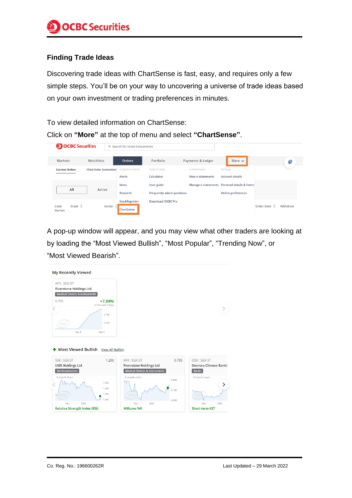### **Finding Trade Ideas**

Discovering trade ideas with ChartSense is fast, easy, and requires only a few simple steps. You'll be on your way to uncovering a universe of trade ideas based on your own investment or trading preferences in minutes.

To view detailed information on ChartSense:

Click on **"More"** at the top of menu and select **"ChartSense"**.

| <b>OCBC</b> Securities |                                      |                               | <b>Q</b> Search for listed instruments |                                                 |                                          |                                                                           |              |          |  |
|------------------------|--------------------------------------|-------------------------------|----------------------------------------|-------------------------------------------------|------------------------------------------|---------------------------------------------------------------------------|--------------|----------|--|
|                        | <b>Markets</b>                       | Watchlists                    | <b>Orders</b>                          | Portfolio                                       | <b>Payments &amp; Ledger</b>             | More $\sim$                                                               |              | G        |  |
|                        | <b>Current Orders</b>                | <b>Filled Order Summation</b> | Insights & Alerts<br><b>Alerts</b>     | Tools & Help<br>Calculator                      | e-Statements<br><b>View e-statements</b> | <b>Settings</b><br><b>Account details</b>                                 |              |          |  |
|                        | All                                  | Active                        | <b>News</b><br>Research                | User guide<br><b>Frequently asked questions</b> |                                          | Manage e-statements Personal details & forms<br><b>Online preferences</b> |              |          |  |
|                        | Stock $\triangleq$<br>Code<br>Market | <b>Action</b>                 | StockReports+<br>ChartSense            | <b>Download iOCBC Pro</b>                       |                                          |                                                                           | Order Date = | Withdraw |  |

A pop-up window will appear, and you may view what other traders are looking at by loading the "Most Viewed Bullish", "Most Popular", "Trending Now", or "Most Viewed Bearish".

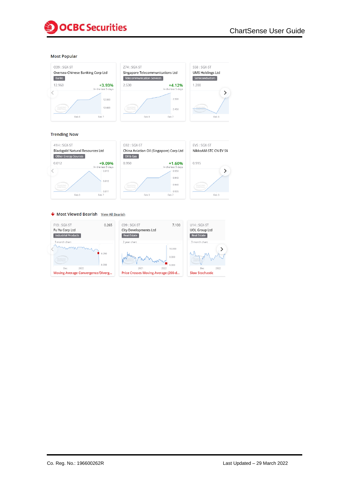

#### **Most Popular**





#### **Trending Now**





#### Most Viewed Bearish View All Bearish





 $\rightarrow$ 

 $\rightarrow$ 

Feb 3

 $Feb 3$ 

EVS: SGX-ST

0.915

NikkoAM-STC CN EV S\$

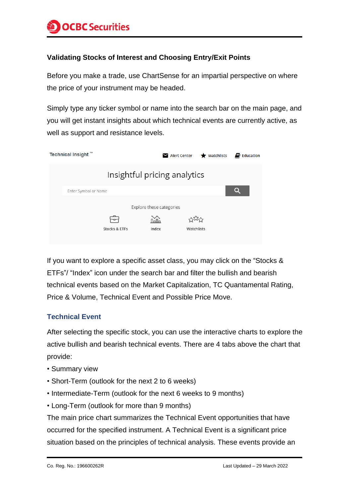# **Validating Stocks of Interest and Choosing Entry/Exit Points**

Before you make a trade, use ChartSense for an impartial perspective on where the price of your instrument may be headed.

Simply type any ticker symbol or name into the search bar on the main page, and you will get instant insights about which technical events are currently active, as well as support and resistance levels.

| <b>Technical Insight</b> " |                          |               |                              | Alert Center | $\bigstar$ Watchlists | $\blacksquare$ Education |  |
|----------------------------|--------------------------|---------------|------------------------------|--------------|-----------------------|--------------------------|--|
|                            |                          |               | Insightful pricing analytics |              |                       |                          |  |
| Enter Symbol or Name       |                          |               |                              |              |                       |                          |  |
|                            | Explore these categories |               |                              |              |                       |                          |  |
|                            |                          |               | mu                           |              | フレイム                  |                          |  |
|                            |                          | Stocks & ETFs | Index                        | Watchlists   |                       |                          |  |

If you want to explore a specific asset class, you may click on the "Stocks & ETFs"/ "Index" icon under the search bar and filter the bullish and bearish technical events based on the Market Capitalization, TC Quantamental Rating, Price & Volume, Technical Event and Possible Price Move.

# **Technical Event**

After selecting the specific stock, you can use the interactive charts to explore the active bullish and bearish technical events. There are 4 tabs above the chart that provide:

- Summary view
- Short-Term (outlook for the next 2 to 6 weeks)
- Intermediate-Term (outlook for the next 6 weeks to 9 months)
- Long-Term (outlook for more than 9 months)

The main price chart summarizes the Technical Event opportunities that have occurred for the specified instrument. A Technical Event is a significant price situation based on the principles of technical analysis. These events provide an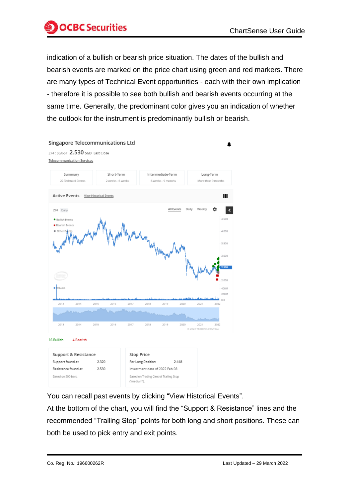

indication of a bullish or bearish price situation. The dates of the bullish and bearish events are marked on the price chart using green and red markers. There are many types of Technical Event opportunities - each with their own implication - therefore it is possible to see both bullish and bearish events occurring at the same time. Generally, the predominant color gives you an indication of whether the outlook for the instrument is predominantly bullish or bearish.



You can recall past events by clicking "View Historical Events".

At the bottom of the chart, you will find the "Support & Resistance" lines and the recommended "Trailing Stop" points for both long and short positions. These can both be used to pick entry and exit points.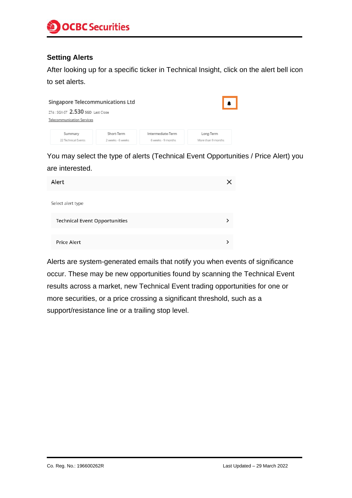

### **Setting Alerts**

After looking up for a specific ticker in Technical Insight, click on the alert bell icon to set alerts.

| Singapore Telecommunications Ltd                                       |                                 |                                         |                                 |  |  |  |  |  |
|------------------------------------------------------------------------|---------------------------------|-----------------------------------------|---------------------------------|--|--|--|--|--|
| 274 : SGX-ST 2.530 SGD Last Close<br><b>Telecommunication Services</b> |                                 |                                         |                                 |  |  |  |  |  |
| Summary<br>22 Technical Events                                         | Short-Term<br>2 weeks - 6 weeks | Intermediate-Term<br>6 weeks - 9 months | Long-Term<br>More than 9 months |  |  |  |  |  |

You may select the type of alerts (Technical Event Opportunities / Price Alert) you are interested.

| Alert                                |  |
|--------------------------------------|--|
| Select alert type                    |  |
| <b>Technical Event Opportunities</b> |  |
| <b>Price Alert</b>                   |  |

Alerts are system-generated emails that notify you when events of significance occur. These may be new opportunities found by scanning the Technical Event results across a market, new Technical Event trading opportunities for one or more securities, or a price crossing a significant threshold, such as a support/resistance line or a trailing stop level.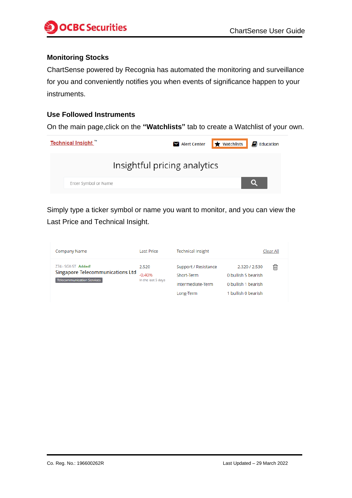

# **Monitoring Stocks**

ChartSense powered by Recognia has automated the monitoring and surveillance for you and conveniently notifies you when events of significance happen to your instruments.

#### **Use Followed Instruments**

On the main page,click on the **"Watchlists"** tab to create a Watchlist of your own.



Simply type a ticker symbol or name you want to monitor, and you can view the Last Price and Technical Insight.

| Company Name                                                                                 | <b>Last Price</b>                       | <b>Technical Insight</b>                                             | Clear All                                                                                |
|----------------------------------------------------------------------------------------------|-----------------------------------------|----------------------------------------------------------------------|------------------------------------------------------------------------------------------|
| $Z74:SGX-ST$ Added!<br><b>Singapore Telecommunications Ltd</b><br>Telecommunication Services | 2.520<br>$-0.40%$<br>In the last 5 days | Support / Resistance<br>Short-Term<br>Intermediate-Term<br>Long-Term | 侕<br>2.320 / 2.530<br>0 bullish 5 bearish.<br>0 bullish 1 bearish<br>1 bullish 0 bearish |